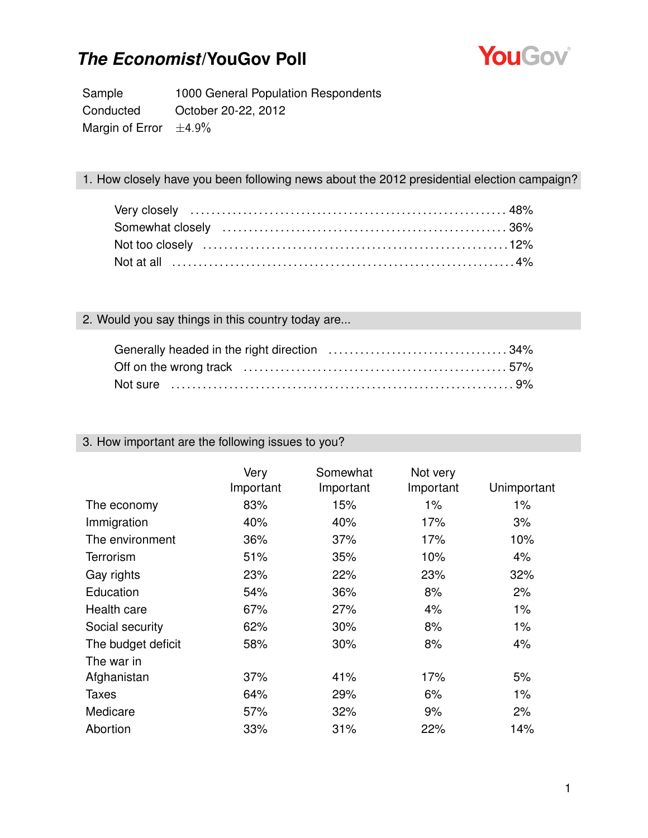

Sample 1000 General Population Respondents Conducted October 20-22, 2012 Margin of Error  $\pm 4.9\%$ 

#### 1. How closely have you been following news about the 2012 presidential election campaign?

#### 2. Would you say things in this country today are...

#### 3. How important are the following issues to you?

|                    | Very<br>Important | Somewhat<br>Important | Not very<br>Important | Unimportant |
|--------------------|-------------------|-----------------------|-----------------------|-------------|
| The economy        | 83%               | 15%                   | 1%                    | $1\%$       |
| Immigration        | 40%               | 40%                   | 17%                   | 3%          |
| The environment    | 36%               | 37%                   | 17%                   | 10%         |
| Terrorism          | 51%               | 35%                   | 10%                   | 4%          |
| Gay rights         | 23%               | 22%                   | 23%                   | 32%         |
| Education          | 54%               | 36%                   | 8%                    | 2%          |
| Health care        | 67%               | 27%                   | 4%                    | $1\%$       |
| Social security    | 62%               | 30%                   | 8%                    | $1\%$       |
| The budget deficit | 58%               | 30%                   | 8%                    | 4%          |
| The war in         |                   |                       |                       |             |
| Afghanistan        | 37%               | 41%                   | 17%                   | 5%          |
| Taxes              | 64%               | 29%                   | 6%                    | $1\%$       |
| Medicare           | 57%               | 32%                   | 9%                    | 2%          |
| Abortion           | 33%               | 31%                   | 22%                   | 14%         |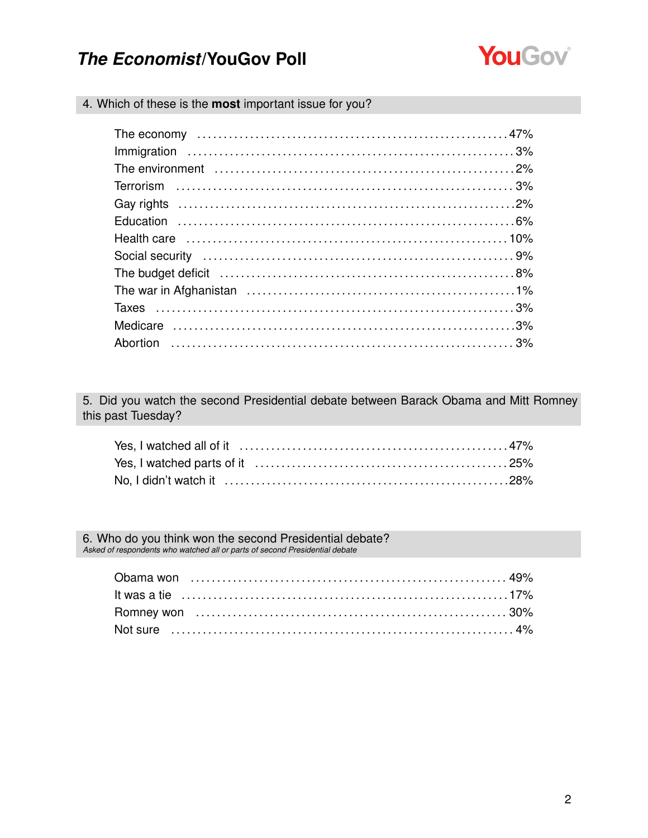

4. Which of these is the most important issue for you?

| The budget deficit (and according to the budget deficit (and according to the budget deficit (and according to the budget of $8\%$ |  |
|------------------------------------------------------------------------------------------------------------------------------------|--|
|                                                                                                                                    |  |
|                                                                                                                                    |  |
|                                                                                                                                    |  |
|                                                                                                                                    |  |

5. Did you watch the second Presidential debate between Barack Obama and Mitt Romney this past Tuesday?

6. Who do you think won the second Presidential debate?<br>Asked of respondents who watched all or parts of second Presidential debate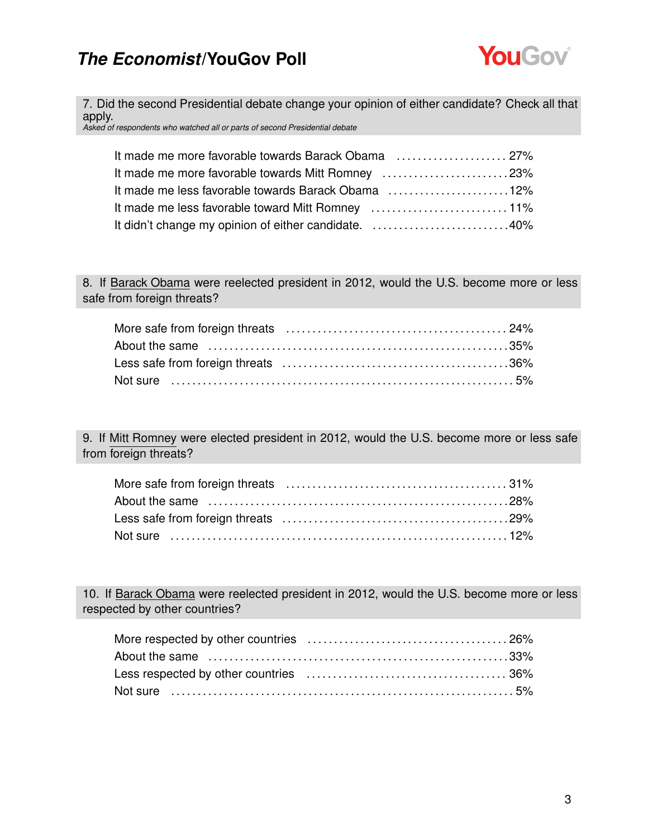

7. Did the second Presidential debate change your opinion of either candidate? Check all that apply.

*Asked of respondents who watched all or parts of second Presidential debate*

| It made me more favorable towards Barack Obama  27%  |  |
|------------------------------------------------------|--|
| It made me more favorable towards Mitt Romney 23%    |  |
| It made me less favorable towards Barack Obama 12%   |  |
|                                                      |  |
| It didn't change my opinion of either candidate. 40% |  |

8. If Barack Obama were reelected president in 2012, would the U.S. become more or less safe from foreign threats?

9. If Mitt Romney were elected president in 2012, would the U.S. become more or less safe from foreign threats?

10. If Barack Obama were reelected president in 2012, would the U.S. become more or less respected by other countries?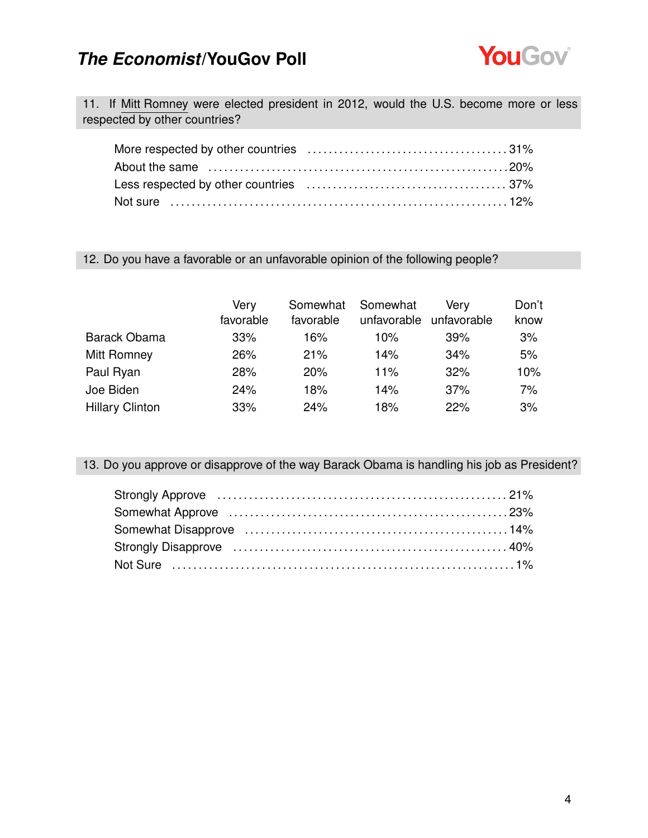

11. If Mitt Romney were elected president in 2012, would the U.S. become more or less respected by other countries?

#### 12. Do you have a favorable or an unfavorable opinion of the following people?

|                        | Very<br>favorable | Somewhat<br>favorable | Somewhat<br>unfavorable | Verv<br>unfavorable | Don't<br>know |
|------------------------|-------------------|-----------------------|-------------------------|---------------------|---------------|
| Barack Obama           | 33%               | 16%                   | 10%                     | 39%                 | 3%            |
| Mitt Romney            | 26%               | 21%                   | 14%                     | 34%                 | 5%            |
| Paul Ryan              | 28%               | 20%                   | 11%                     | 32%                 | 10%           |
| Joe Biden              | 24%               | 18%                   | 14%                     | 37%                 | 7%            |
| <b>Hillary Clinton</b> | 33%               | 24%                   | 18%                     | 22%                 | 3%            |

13. Do you approve or disapprove of the way Barack Obama is handling his job as President?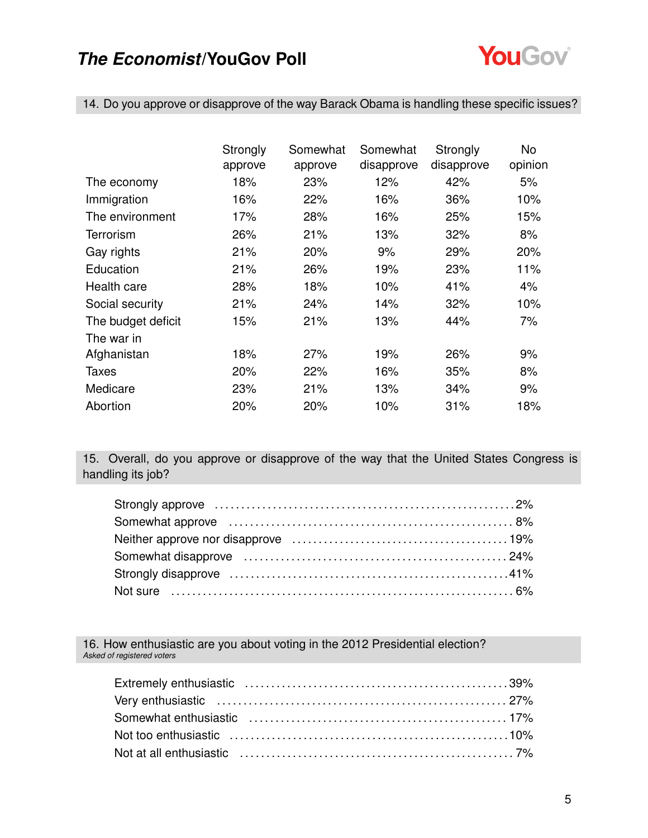

14. Do you approve or disapprove of the way Barack Obama is handling these specific issues?

|                    | Strongly | Somewhat | Somewhat   | Strongly   | No      |
|--------------------|----------|----------|------------|------------|---------|
|                    | approve  | approve  | disapprove | disapprove | opinion |
| The economy        | 18%      | 23%      | 12%        | 42%        | 5%      |
| Immigration        | 16%      | 22%      | 16%        | 36%        | 10%     |
| The environment    | 17%      | 28%      | 16%        | 25%        | 15%     |
| <b>Terrorism</b>   | 26%      | 21%      | 13%        | 32%        | 8%      |
| Gay rights         | 21%      | 20%      | 9%         | 29%        | 20%     |
| Education          | 21%      | 26%      | 19%        | 23%        | 11%     |
| Health care        | 28%      | 18%      | 10%        | 41%        | 4%      |
| Social security    | 21%      | 24%      | 14%        | 32%        | 10%     |
| The budget deficit | 15%      | 21%      | 13%        | 44%        | 7%      |
| The war in         |          |          |            |            |         |
| Afghanistan        | 18%      | 27%      | 19%        | 26%        | 9%      |
| <b>Taxes</b>       | 20%      | 22%      | 16%        | 35%        | 8%      |
| Medicare           | 23%      | 21%      | 13%        | 34%        | 9%      |
| Abortion           | 20%      | 20%      | 10%        | 31%        | 18%     |

15. Overall, do you approve or disapprove of the way that the United States Congress is handling its job?

16. How enthusiastic are you about voting in the 2012 Presidential election? *Asked of registered voters*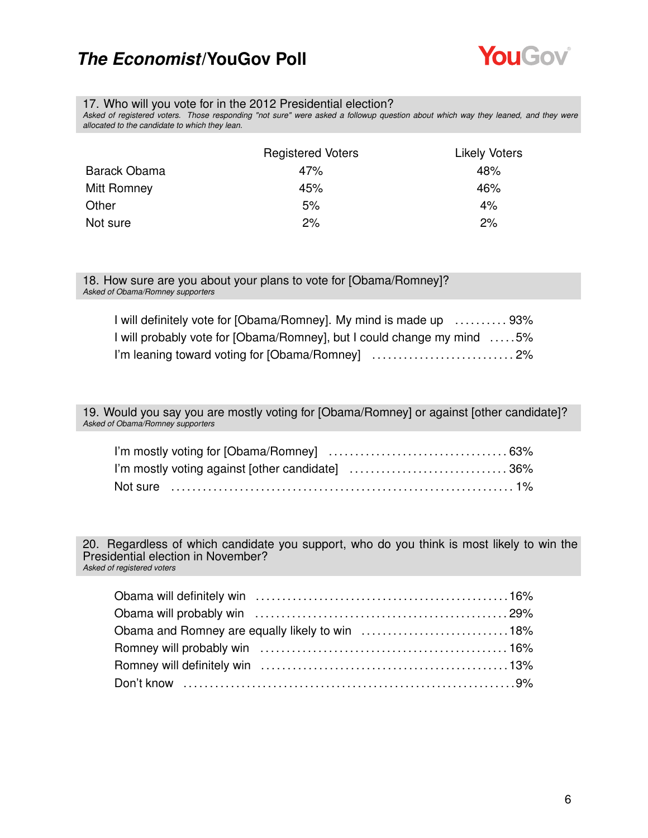

#### 17. Who will you vote for in the 2012 Presidential election?

*Asked of registered voters. Those responding "not sure" were asked a followup question about which way they leaned, and they were allocated to the candidate to which they lean.*

|              | <b>Registered Voters</b> | <b>Likely Voters</b> |
|--------------|--------------------------|----------------------|
| Barack Obama | 47%                      | 48%                  |
| Mitt Romney  | 45%                      | 46%                  |
| Other        | 5%                       | 4%                   |
| Not sure     | 2%                       | 2%                   |

#### 18. How sure are you about your plans to vote for [Obama/Romney]? *Asked of Obama/Romney supporters*

| I will definitely vote for [Obama/Romney]. My mind is made up  93%     |  |
|------------------------------------------------------------------------|--|
| I will probably vote for [Obama/Romney], but I could change my mind 5% |  |
|                                                                        |  |

19. Would you say you are mostly voting for [Obama/Romney] or against [other candidate]? *Asked of Obama/Romney supporters*

20. Regardless of which candidate you support, who do you think is most likely to win the Presidential election in November? *Asked of registered voters*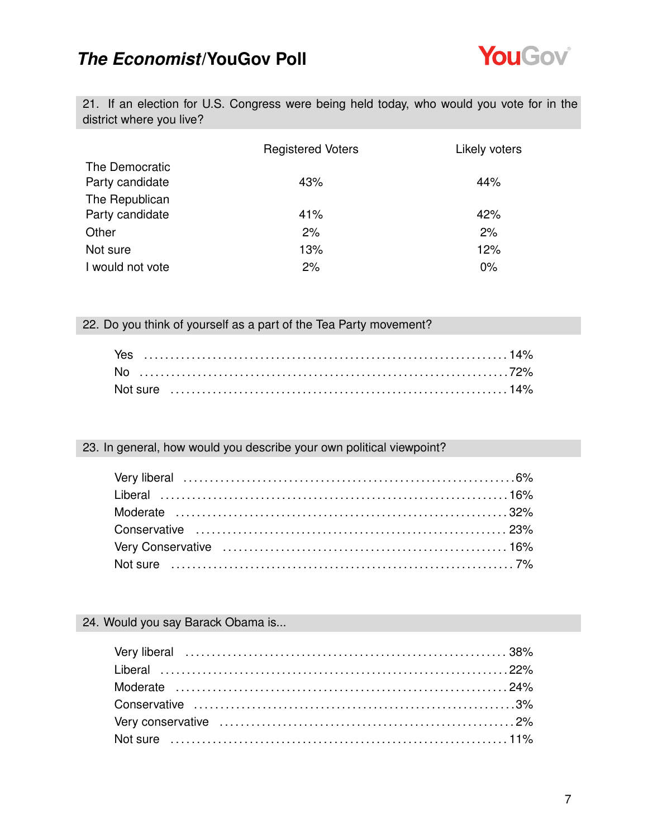

21. If an election for U.S. Congress were being held today, who would you vote for in the district where you live?

|                                   | <b>Registered Voters</b> | Likely voters |
|-----------------------------------|--------------------------|---------------|
| The Democratic<br>Party candidate | 43%                      | 44%           |
| The Republican<br>Party candidate | 41%                      | 42%           |
| Other                             | 2%                       | 2%            |
| Not sure                          | 13%                      | 12%           |
| I would not vote                  | 2%                       | $0\%$         |

#### 22. Do you think of yourself as a part of the Tea Party movement?

#### 23. In general, how would you describe your own political viewpoint?

#### 24. Would you say Barack Obama is...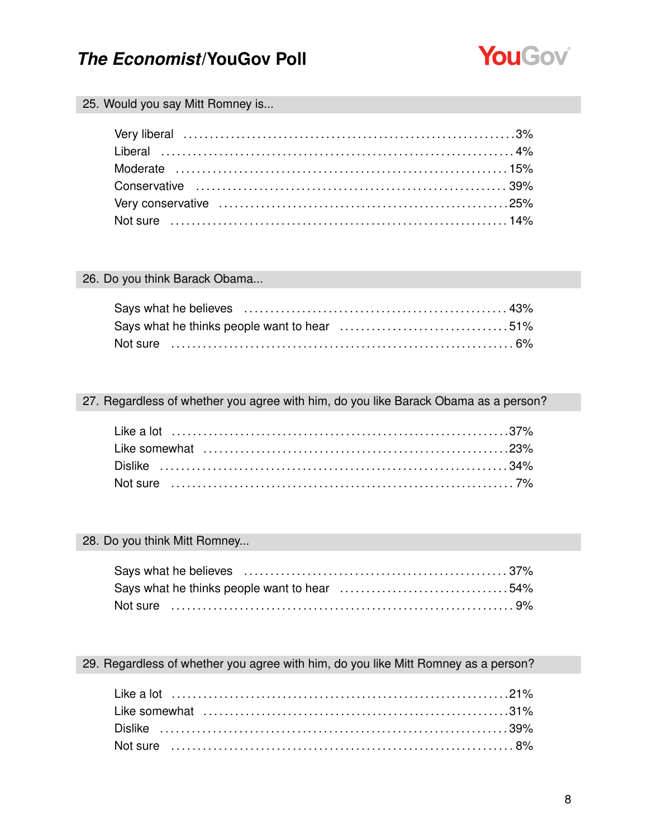

#### 25. Would you say Mitt Romney is...

#### 26. Do you think Barack Obama...

| Not sure …………………………………………………………………………6% |  |
|-----------------------------------------|--|

#### 27. Regardless of whether you agree with him, do you like Barack Obama as a person?

#### 28. Do you think Mitt Romney...

| Says what he thinks people want to hear 54% |  |
|---------------------------------------------|--|
|                                             |  |

#### 29. Regardless of whether you agree with him, do you like Mitt Romney as a person?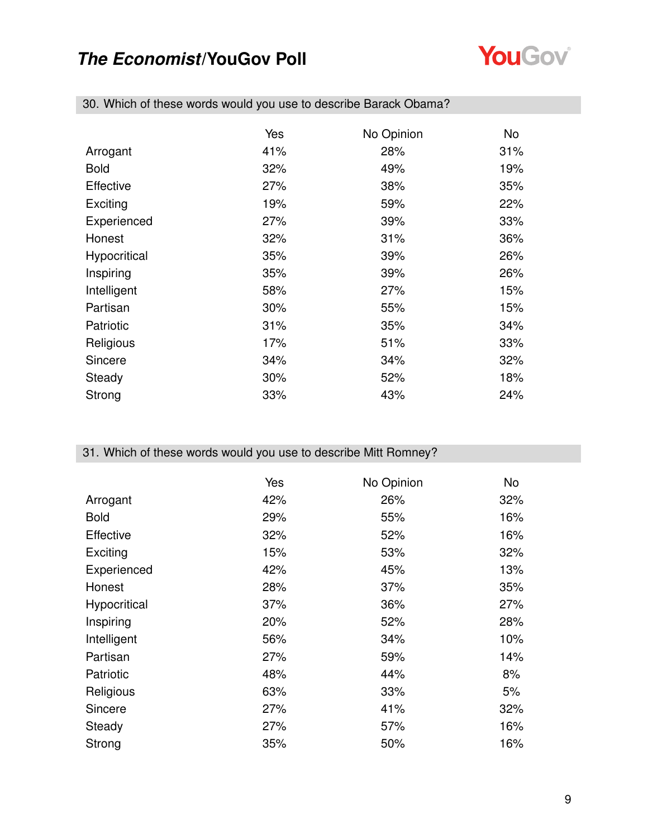

|                  | Yes | No Opinion | No. |
|------------------|-----|------------|-----|
| Arrogant         | 41% | 28%        | 31% |
| <b>Bold</b>      | 32% | 49%        | 19% |
| <b>Effective</b> | 27% | 38%        | 35% |
| Exciting         | 19% | 59%        | 22% |
| Experienced      | 27% | 39%        | 33% |
| Honest           | 32% | 31%        | 36% |
| Hypocritical     | 35% | 39%        | 26% |
| Inspiring        | 35% | 39%        | 26% |
| Intelligent      | 58% | 27%        | 15% |
| Partisan         | 30% | 55%        | 15% |
| Patriotic        | 31% | 35%        | 34% |
| Religious        | 17% | 51%        | 33% |
| Sincere          | 34% | 34%        | 32% |
| Steady           | 30% | 52%        | 18% |
| Strong           | 33% | 43%        | 24% |

30. Which of these words would you use to describe Barack Obama?

#### 31. Which of these words would you use to describe Mitt Romney?

|              | Yes | No Opinion | No  |
|--------------|-----|------------|-----|
| Arrogant     | 42% | 26%        | 32% |
| <b>Bold</b>  | 29% | 55%        | 16% |
| Effective    | 32% | 52%        | 16% |
| Exciting     | 15% | 53%        | 32% |
| Experienced  | 42% | 45%        | 13% |
| Honest       | 28% | 37%        | 35% |
| Hypocritical | 37% | 36%        | 27% |
| Inspiring    | 20% | 52%        | 28% |
| Intelligent  | 56% | 34%        | 10% |
| Partisan     | 27% | 59%        | 14% |
| Patriotic    | 48% | 44%        | 8%  |
| Religious    | 63% | 33%        | 5%  |
| Sincere      | 27% | 41%        | 32% |
| Steady       | 27% | 57%        | 16% |
| Strong       | 35% | 50%        | 16% |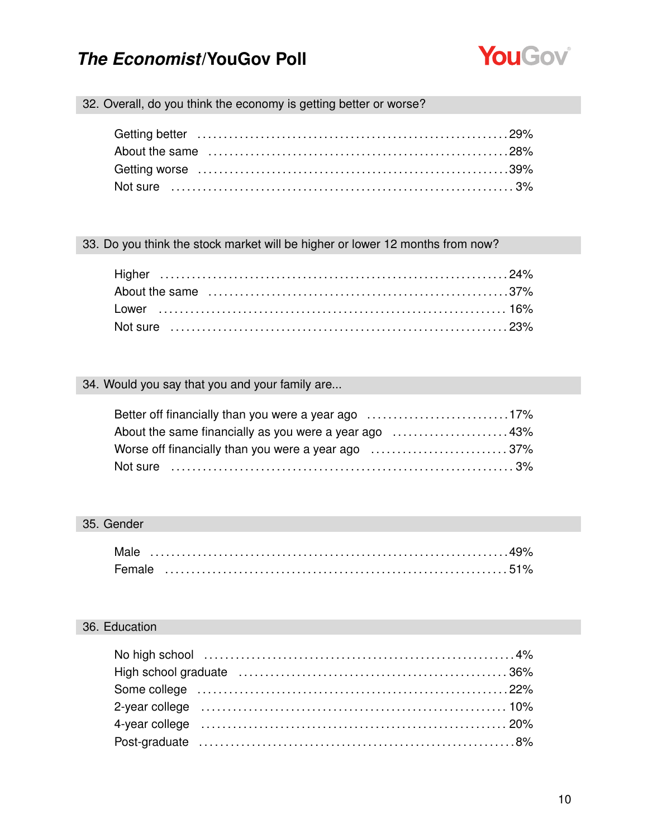

### 32. Overall, do you think the economy is getting better or worse?

#### 33. Do you think the stock market will be higher or lower 12 months from now?

#### 34. Would you say that you and your family are...

| Better off financially than you were a year ago 17%   |  |
|-------------------------------------------------------|--|
| About the same financially as you were a year ago 43% |  |
|                                                       |  |
|                                                       |  |

#### 35. Gender

| Male   |  |  |  |  |  |  |  |  |  |  |  |  |  |  |  |  |  |
|--------|--|--|--|--|--|--|--|--|--|--|--|--|--|--|--|--|--|
| Female |  |  |  |  |  |  |  |  |  |  |  |  |  |  |  |  |  |

#### 36. Education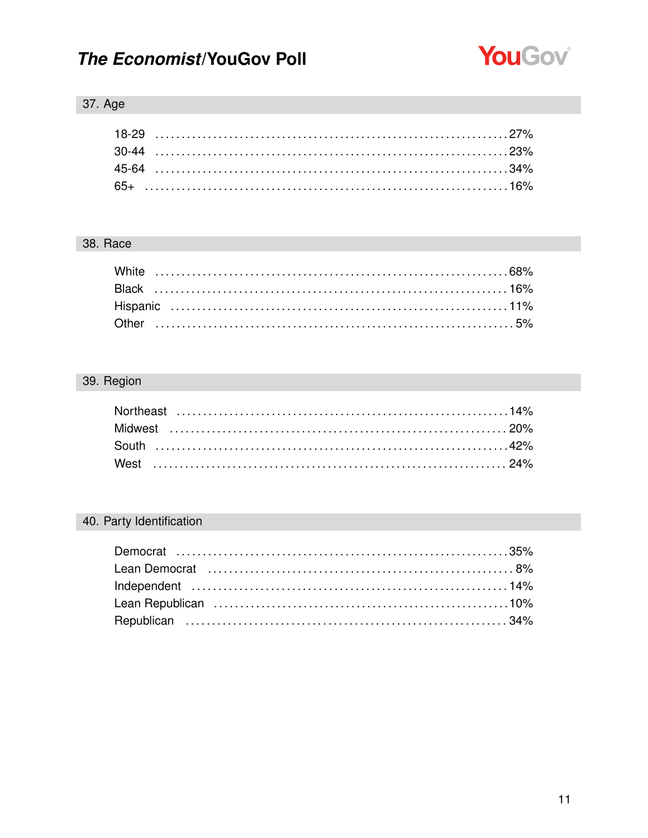

### 37. Age

#### 38. Race

### 39. Region

### 40. Party Identification